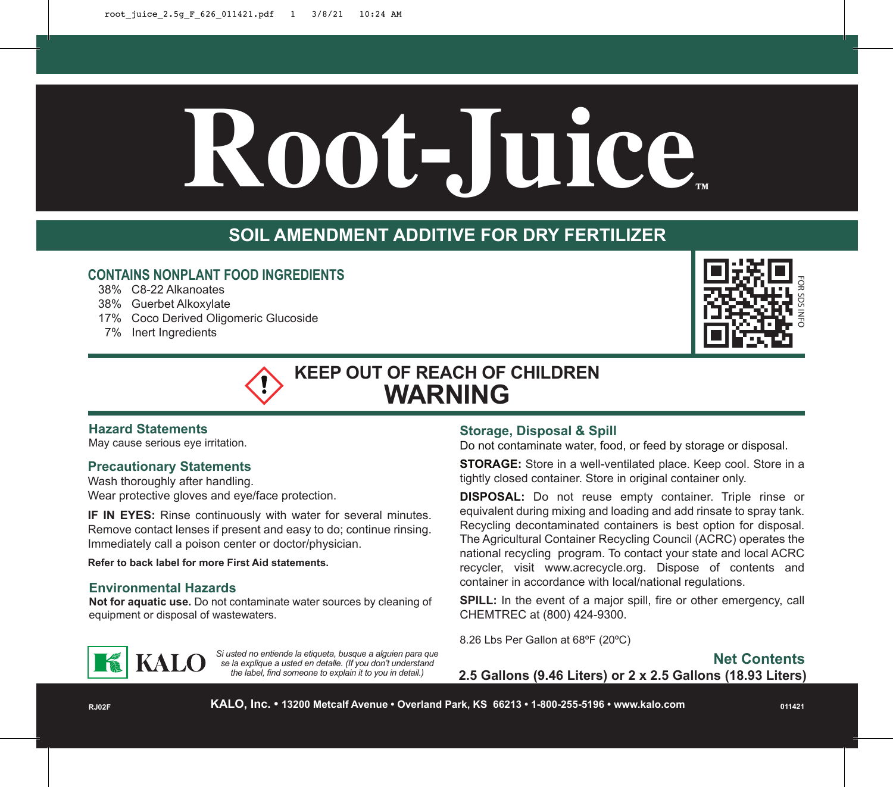# $Root$ -Juice

# **SOIL AMENDMENT ADDITIVE FOR DRY FERTILIZER**

## **CONTAINS NONPLANT FOOD INGREDIENTS**

- 38% C8-22 Alkanoates
- 38% Guerbet Alkoxylate
- 17% Coco Derived Oligomeric Glucoside
- 7% Inert Ingredients



# **KEEP OUT OF REACH OF CHILDREN WARNING**

## **Hazard Statements**

May cause serious eye irritation.

## **Precautionary Statements**

Wash thoroughly after handling. Wear protective gloves and eye/face protection.

**IF IN EYES:** Rinse continuously with water for several minutes. Remove contact lenses if present and easy to do; continue rinsing. Immediately call a poison center or doctor/physician.

**Refer to back label for more First Aid statements.**

## **Environmental Hazards**

**Not for aquatic use.** Do not contaminate water sources by cleaning of equipment or disposal of wastewaters.

*Si usted no entiende la etiqueta, busque a alguien para que se la explique a usted en detalle. (If you don't understand the label, find someone to explain it to you in detail.)*

## **Storage, Disposal & Spill**

Do not contaminate water, food, or feed by storage or disposal.

**STORAGE:** Store in a well-ventilated place. Keep cool. Store in a tightly closed container. Store in original container only.

**DISPOSAL:** Do not reuse empty container. Triple rinse or equivalent during mixing and loading and add rinsate to spray tank. Recycling decontaminated containers is best option for disposal. The Agricultural Container Recycling Council (ACRC) operates the national recycling program. To contact your state and local ACRC recycler, visit www.acrecycle.org. Dispose of contents and container in accordance with local/national regulations.

**SPILL:** In the event of a major spill, fire or other emergency, call CHEMTREC at (800) 424-9300.

8.26 Lbs Per Gallon at 68ºF (20ºC)



**2.5 Gallons (9.46 Liters) or 2 x 2.5 Gallons (18.93 Liters)**

**KALO, Inc. • 13200 Metcalf Avenue • Overland Park, KS 66213 • 1-800-255-5196 • www.kalo.com**

**011421**